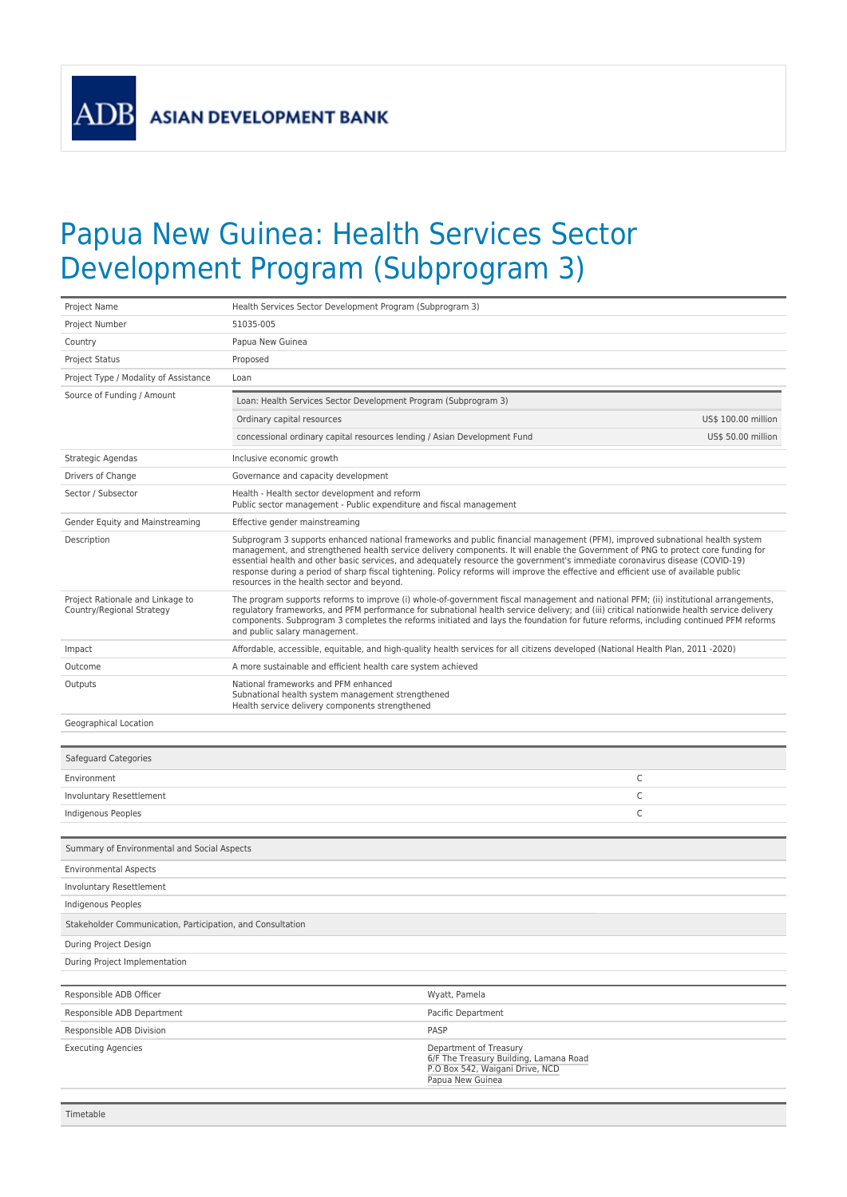**ASIAN DEVELOPMENT BANK** 

**ADB** 

## Papua New Guinea: Health Services Sector Development Program (Subprogram 3)

| Project Name                                                  | Health Services Sector Development Program (Subprogram 3)                                                                                                                                                                                                                                                                                                                                                                                                                                                                                                                               |                                                                                                                         |                     |
|---------------------------------------------------------------|-----------------------------------------------------------------------------------------------------------------------------------------------------------------------------------------------------------------------------------------------------------------------------------------------------------------------------------------------------------------------------------------------------------------------------------------------------------------------------------------------------------------------------------------------------------------------------------------|-------------------------------------------------------------------------------------------------------------------------|---------------------|
| Project Number                                                | 51035-005                                                                                                                                                                                                                                                                                                                                                                                                                                                                                                                                                                               |                                                                                                                         |                     |
| Country                                                       | Papua New Guinea                                                                                                                                                                                                                                                                                                                                                                                                                                                                                                                                                                        |                                                                                                                         |                     |
| <b>Project Status</b>                                         | Proposed                                                                                                                                                                                                                                                                                                                                                                                                                                                                                                                                                                                |                                                                                                                         |                     |
| Project Type / Modality of Assistance                         | Loan                                                                                                                                                                                                                                                                                                                                                                                                                                                                                                                                                                                    |                                                                                                                         |                     |
| Source of Funding / Amount                                    | Loan: Health Services Sector Development Program (Subprogram 3)                                                                                                                                                                                                                                                                                                                                                                                                                                                                                                                         |                                                                                                                         |                     |
|                                                               | Ordinary capital resources                                                                                                                                                                                                                                                                                                                                                                                                                                                                                                                                                              |                                                                                                                         | US\$ 100.00 million |
|                                                               | concessional ordinary capital resources lending / Asian Development Fund                                                                                                                                                                                                                                                                                                                                                                                                                                                                                                                |                                                                                                                         | US\$ 50.00 million  |
| Strategic Agendas                                             | Inclusive economic growth                                                                                                                                                                                                                                                                                                                                                                                                                                                                                                                                                               |                                                                                                                         |                     |
| Drivers of Change                                             | Governance and capacity development                                                                                                                                                                                                                                                                                                                                                                                                                                                                                                                                                     |                                                                                                                         |                     |
| Sector / Subsector                                            | Health - Health sector development and reform<br>Public sector management - Public expenditure and fiscal management                                                                                                                                                                                                                                                                                                                                                                                                                                                                    |                                                                                                                         |                     |
| Gender Equity and Mainstreaming                               | Effective gender mainstreaming                                                                                                                                                                                                                                                                                                                                                                                                                                                                                                                                                          |                                                                                                                         |                     |
| Description                                                   | Subprogram 3 supports enhanced national frameworks and public financial management (PFM), improved subnational health system<br>management, and strengthened health service delivery components. It will enable the Government of PNG to protect core funding for<br>essential health and other basic services, and adequately resource the government's immediate coronavirus disease (COVID-19)<br>response during a period of sharp fiscal tightening. Policy reforms will improve the effective and efficient use of available public<br>resources in the health sector and beyond. |                                                                                                                         |                     |
| Project Rationale and Linkage to<br>Country/Regional Strategy | The program supports reforms to improve (i) whole-of-government fiscal management and national PFM; (ii) institutional arrangements,<br>regulatory frameworks, and PFM performance for subnational health service delivery; and (iii) critical nationwide health service delivery<br>components. Subprogram 3 completes the reforms initiated and lays the foundation for future reforms, including continued PFM reforms<br>and public salary management.                                                                                                                              |                                                                                                                         |                     |
| Impact                                                        | Affordable, accessible, equitable, and high-quality health services for all citizens developed (National Health Plan, 2011-2020)                                                                                                                                                                                                                                                                                                                                                                                                                                                        |                                                                                                                         |                     |
| Outcome                                                       | A more sustainable and efficient health care system achieved                                                                                                                                                                                                                                                                                                                                                                                                                                                                                                                            |                                                                                                                         |                     |
| Outputs                                                       | National frameworks and PFM enhanced<br>Subnational health system management strengthened<br>Health service delivery components strengthened                                                                                                                                                                                                                                                                                                                                                                                                                                            |                                                                                                                         |                     |
| Geographical Location                                         |                                                                                                                                                                                                                                                                                                                                                                                                                                                                                                                                                                                         |                                                                                                                         |                     |
| Safeguard Categories                                          |                                                                                                                                                                                                                                                                                                                                                                                                                                                                                                                                                                                         |                                                                                                                         |                     |
| Environment                                                   |                                                                                                                                                                                                                                                                                                                                                                                                                                                                                                                                                                                         | C                                                                                                                       |                     |
| Involuntary Resettlement                                      |                                                                                                                                                                                                                                                                                                                                                                                                                                                                                                                                                                                         | C                                                                                                                       |                     |
| Indigenous Peoples                                            |                                                                                                                                                                                                                                                                                                                                                                                                                                                                                                                                                                                         | $\mathsf C$                                                                                                             |                     |
|                                                               |                                                                                                                                                                                                                                                                                                                                                                                                                                                                                                                                                                                         |                                                                                                                         |                     |
| Summary of Environmental and Social Aspects                   |                                                                                                                                                                                                                                                                                                                                                                                                                                                                                                                                                                                         |                                                                                                                         |                     |
| <b>Environmental Aspects</b>                                  |                                                                                                                                                                                                                                                                                                                                                                                                                                                                                                                                                                                         |                                                                                                                         |                     |
| Involuntary Resettlement                                      |                                                                                                                                                                                                                                                                                                                                                                                                                                                                                                                                                                                         |                                                                                                                         |                     |
| Indigenous Peoples                                            |                                                                                                                                                                                                                                                                                                                                                                                                                                                                                                                                                                                         |                                                                                                                         |                     |
| Stakeholder Communication, Participation, and Consultation    |                                                                                                                                                                                                                                                                                                                                                                                                                                                                                                                                                                                         |                                                                                                                         |                     |
| During Project Design                                         |                                                                                                                                                                                                                                                                                                                                                                                                                                                                                                                                                                                         |                                                                                                                         |                     |
| During Project Implementation                                 |                                                                                                                                                                                                                                                                                                                                                                                                                                                                                                                                                                                         |                                                                                                                         |                     |
| Responsible ADB Officer                                       |                                                                                                                                                                                                                                                                                                                                                                                                                                                                                                                                                                                         | Wyatt, Pamela                                                                                                           |                     |
| Responsible ADB Department                                    |                                                                                                                                                                                                                                                                                                                                                                                                                                                                                                                                                                                         | Pacific Department                                                                                                      |                     |
| Responsible ADB Division                                      |                                                                                                                                                                                                                                                                                                                                                                                                                                                                                                                                                                                         | PASP                                                                                                                    |                     |
| <b>Executing Agencies</b>                                     |                                                                                                                                                                                                                                                                                                                                                                                                                                                                                                                                                                                         | Department of Treasury<br>6/F The Treasury Building, Lamana Road<br>P.O Box 542, Waigani Drive, NCD<br>Papua New Guinea |                     |